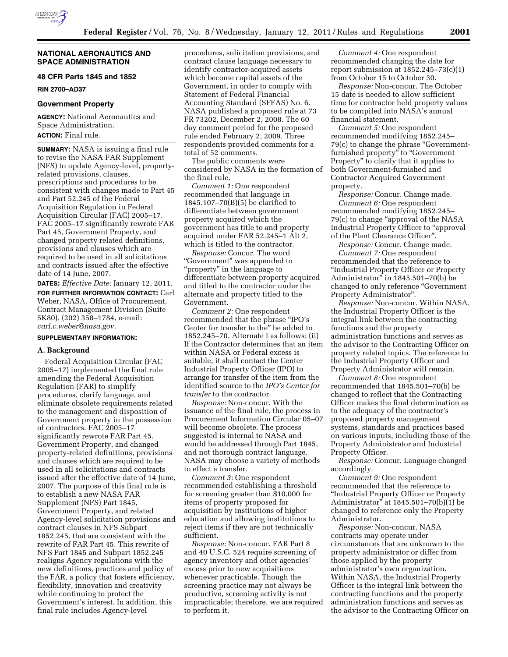

## **NATIONAL AERONAUTICS AND SPACE ADMINISTRATION**

# **48 CFR Parts 1845 and 1852**

**RIN 2700–AD37** 

# **Government Property**

**AGENCY:** National Aeronautics and Space Administration. **ACTION:** Final rule.

**SUMMARY:** NASA is issuing a final rule to revise the NASA FAR Supplement (NFS) to update Agency-level, propertyrelated provisions, clauses, prescriptions and procedures to be consistent with changes made to Part 45 and Part 52.245 of the Federal Acquisition Regulation in Federal Acquisition Circular (FAC) 2005–17. FAC 2005–17 significantly rewrote FAR Part 45, Government Property, and changed property related definitions, provisions and clauses which are required to be used in all solicitations and contracts issued after the effective date of 14 June, 2007.

**DATES:** *Effective Date:* January 12, 2011. **FOR FURTHER INFORMATION CONTACT:** Carl Weber, NASA, Office of Procurement, Contract Management Division (Suite 5K80), (202) 358–1784, e-mail: *[carl.c.weber@nasa.gov.](mailto:carl.c.weber@nasa.gov)* 

# **SUPPLEMENTARY INFORMATION:**

### **A. Background**

Federal Acquisition Circular (FAC 2005–17) implemented the final rule amending the Federal Acquisition Regulation (FAR) to simplify procedures, clarify language, and eliminate obsolete requirements related to the management and disposition of Government property in the possession of contractors. FAC 2005–17 significantly rewrote FAR Part 45, Government Property, and changed property-related definitions, provisions and clauses which are required to be used in all solicitations and contracts issued after the effective date of 14 June, 2007. The purpose of this final rule is to establish a new NASA FAR Supplement (NFS) Part 1845, Government Property, and related Agency-level solicitation provisions and contract clauses in NFS Subpart 1852.245, that are consistent with the rewrite of FAR Part 45. This rewrite of NFS Part 1845 and Subpart 1852.245 realigns Agency regulations with the new definitions, practices and policy of the FAR, a policy that fosters efficiency, flexibility, innovation and creativity while continuing to protect the Government's interest. In addition, this final rule includes Agency-level

procedures, solicitation provisions, and contract clause language necessary to identify contractor-acquired assets which become capital assets of the Government, in order to comply with Statement of Federal Financial Accounting Standard (SFFAS) No. 6. NASA published a proposed rule at 73 FR 73202, December 2, 2008. The 60 day comment period for the proposed rule ended February 2, 2009. Three respondents provided comments for a total of 52 comments.

The public comments were considered by NASA in the formation of the final rule.

*Comment 1:* One respondent recommended that language in 1845.107–70(B)(5) be clarified to differentiate between government property acquired which the government has title to and property acquired under FAR 52.245–1 Alt 2, which is titled to the contractor.

*Response:* Concur. The word "Government" was appended to "property" in the language to differentiate between property acquired and titled to the contractor under the alternate and property titled to the Government.

*Comment 2:* One respondent recommended that the phrase ''IPO's Center for transfer to the'' be added to 1852.245–70, Alternate I as follows: (ii) If the Contractor determines that an item within NASA or Federal excess is suitable, it shall contact the Center Industrial Property Officer (IPO) to arrange for transfer of the item from the identified source to the *IPO's Center for transfer* to the contractor.

*Response:* Non-concur. With the issuance of the final rule, the process in Procurement Information Circular 05–07 will become obsolete. The process suggested is internal to NASA and would be addressed through Part 1845, and not thorough contract language. NASA may choose a variety of methods to effect a transfer.

*Comment 3:* One respondent recommended establishing a threshold for screening greater than \$10,000 for items of property proposed for acquisition by institutions of higher education and allowing institutions to reject items if they are not technically sufficient.

*Response:* Non-concur. FAR Part 8 and 40 U.S.C. 524 require screening of agency inventory and other agencies' excess prior to new acquisitions whenever practicable. Though the screening practice may not always be productive, screening activity is not impracticable; therefore, we are required to perform it.

*Comment 4:* One respondent recommended changing the date for report submission at  $1852.245 - 73(c)(1)$ from October 15 to October 30.

*Response:* Non-concur. The October 15 date is needed to allow sufficient time for contractor held property values to be compiled into NASA's annual financial statement.

*Comment 5:* One respondent recommended modifying 1852.245– 79(c) to change the phrase ''Governmentfurnished property'' to ''Government Property'' to clarify that it applies to both Government-furnished and Contractor Acquired Government property.

*Response:* Concur. Change made. *Comment 6:* One respondent recommended modifying 1852.245– 79(c) to change ''approval of the NASA Industrial Property Officer to ''approval of the Plant Clearance Officer''.

*Response:* Concur. Change made. *Comment 7:* One respondent recommended that the reference to ''Industrial Property Officer or Property Administrator'' in 1845.501–70(b) be changed to only reference ''Government Property Administrator''.

*Response:* Non-concur. Within NASA, the Industrial Property Officer is the integral link between the contracting functions and the property administration functions and serves as the advisor to the Contracting Officer on property related topics. The reference to the Industrial Property Officer and Property Administrator will remain.

*Comment 8:* One respondent recommended that 1845.501–70(b) be changed to reflect that the Contracting Officer makes the final determination as to the adequacy of the contractor's proposed property management systems, standards and practices based on various inputs, including those of the Property Administrator and Industrial Property Officer.

*Response:* Concur. Language changed accordingly.

*Comment 9:* One respondent recommended that the reference to ''Industrial Property Officer or Property Administrator'' at 1845.501–70(b)(1) be changed to reference only the Property Administrator.

*Response:* Non-concur. NASA contracts may operate under circumstances that are unknown to the property administrator or differ from those applied by the property administrator's own organization. Within NASA, the Industrial Property Officer is the integral link between the contracting functions and the property administration functions and serves as the advisor to the Contracting Officer on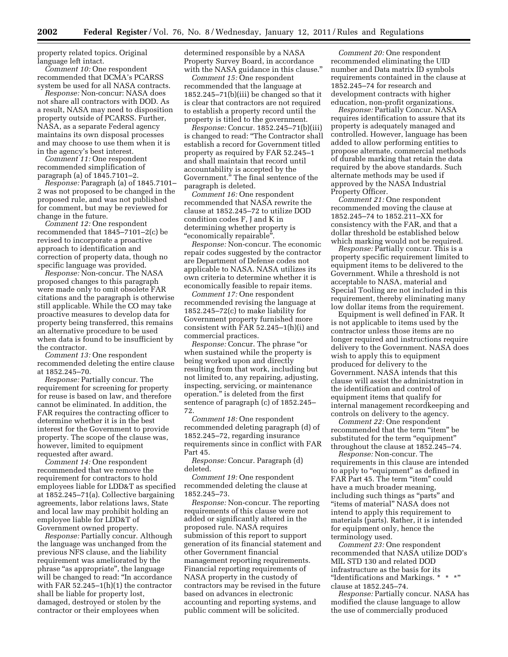property related topics. Original language left intact.

*Comment 10:* One respondent recommended that DCMA's PCARSS system be used for all NASA contracts.

*Response:* Non-concur: NASA does not share all contractors with DOD. As a result, NASA may need to disposition property outside of PCARSS. Further, NASA, as a separate Federal agency maintains its own disposal processes and may choose to use them when it is in the agency's best interest.

*Comment 11:* One respondent recommended simplification of paragraph (a) of 1845.7101–2.

*Response:* Paragraph (a) of 1845.7101– 2 was not proposed to be changed in the proposed rule, and was not published for comment, but may be reviewed for change in the future.

*Comment 12:* One respondent recommended that 1845–7101–2(c) be revised to incorporate a proactive approach to identification and correction of property data, though no specific language was provided.

*Response:* Non-concur. The NASA proposed changes to this paragraph were made only to omit obsolete FAR citations and the paragraph is otherwise still applicable. While the CO may take proactive measures to develop data for property being transferred, this remains an alternative procedure to be used when data is found to be insufficient by the contractor.

*Comment 13:* One respondent recommended deleting the entire clause at 1852.245–70.

*Response:* Partially concur. The requirement for screening for property for reuse is based on law, and therefore cannot be eliminated. In addition, the FAR requires the contracting officer to determine whether it is in the best interest for the Government to provide property. The scope of the clause was, however, limited to equipment requested after award.

*Comment 14:* One respondent recommended that we remove the requirement for contractors to hold employees liable for LDD&T as specified at 1852.245–71(a). Collective bargaining agreements, labor relations laws, State and local law may prohibit holding an employee liable for LDD&T of Government owned property.

*Response:* Partially concur. Although the language was unchanged from the previous NFS clause, and the liability requirement was ameliorated by the phrase "as appropriate", the language will be changed to read: "In accordance with FAR 52.245–1(h)(1) the contractor shall be liable for property lost, damaged, destroyed or stolen by the contractor or their employees when

determined responsible by a NASA Property Survey Board, in accordance with the NASA guidance in this clause.''

*Comment 15:* One respondent recommended that the language at 1852.245–71(b)(iii) be changed so that it is clear that contractors are not required to establish a property record until the property is titled to the government.

*Response:* Concur. 1852.245–71(b)(iii) is changed to read: ''The Contractor shall establish a record for Government titled property as required by FAR 52.245–1 and shall maintain that record until accountability is accepted by the Government.'' The final sentence of the paragraph is deleted.

*Comment 16:* One respondent recommended that NASA rewrite the clause at 1852.245–72 to utilize DOD condition codes F, J and K in determining whether property is ''economically repairable''.

*Response:* Non-concur. The economic repair codes suggested by the contractor are Department of Defense codes not applicable to NASA. NASA utilizes its own criteria to determine whether it is economically feasible to repair items.

*Comment 17:* One respondent recommended revising the language at 1852.245–72(c) to make liability for Government property furnished more consistent with FAR 52.245–1(h)(i) and commercial practices.

*Response:* Concur. The phrase ''or when sustained while the property is being worked upon and directly resulting from that work, including but not limited to, any repairing, adjusting, inspecting, servicing, or maintenance operation.'' is deleted from the first sentence of paragraph (c) of 1852.245– 72.

*Comment 18:* One respondent recommended deleting paragraph (d) of 1852.245–72, regarding insurance requirements since in conflict with FAR Part 45.

*Response:* Concur. Paragraph (d) deleted.

*Comment 19:* One respondent recommended deleting the clause at 1852.245–73.

*Response:* Non-concur. The reporting requirements of this clause were not added or significantly altered in the proposed rule. NASA requires submission of this report to support generation of its financial statement and other Government financial management reporting requirements. Financial reporting requirements of NASA property in the custody of contractors may be revised in the future based on advances in electronic accounting and reporting systems, and public comment will be solicited.

*Comment 20:* One respondent recommended eliminating the UID number and Data matrix ID symbols requirements contained in the clause at 1852.245–74 for research and development contracts with higher education, non-profit organizations.

*Response:* Partially Concur. NASA requires identification to assure that its property is adequately managed and controlled. However, language has been added to allow performing entities to propose alternate, commercial methods of durable marking that retain the data required by the above standards. Such alternate methods may be used if approved by the NASA Industrial Property Officer.

*Comment 21:* One respondent recommended moving the clause at 1852.245–74 to 1852.211–XX for consistency with the FAR, and that a dollar threshold be established below which marking would not be required.

*Response:* Partially concur. This is a property specific requirement limited to equipment items to be delivered to the Government. While a threshold is not acceptable to NASA, material and Special Tooling are not included in this requirement, thereby eliminating many low dollar items from the requirement.

Equipment is well defined in FAR. It is not applicable to items used by the contractor unless those items are no longer required and instructions require delivery to the Government. NASA does wish to apply this to equipment produced for delivery to the Government. NASA intends that this clause will assist the administration in the identification and control of equipment items that qualify for internal management recordkeeping and controls on delivery to the agency.

*Comment 22:* One respondent recommended that the term ''item'' be substituted for the term "equipment" throughout the clause at 1852.245–74.

*Response:* Non-concur. The requirements in this clause are intended to apply to "equipment" as defined in FAR Part 45. The term "item" could have a much broader meaning, including such things as ''parts'' and ''items of material'' NASA does not intend to apply this requirement to materials (parts). Rather, it is intended for equipment only, hence the terminology used.

*Comment 23:* One respondent recommended that NASA utilize DOD's MIL STD 130 and related DOD infrastructure as the basis for its "Identifications and Markings. \* \* \*" clause at 1852.245–74.

*Response:* Partially concur. NASA has modified the clause language to allow the use of commercially produced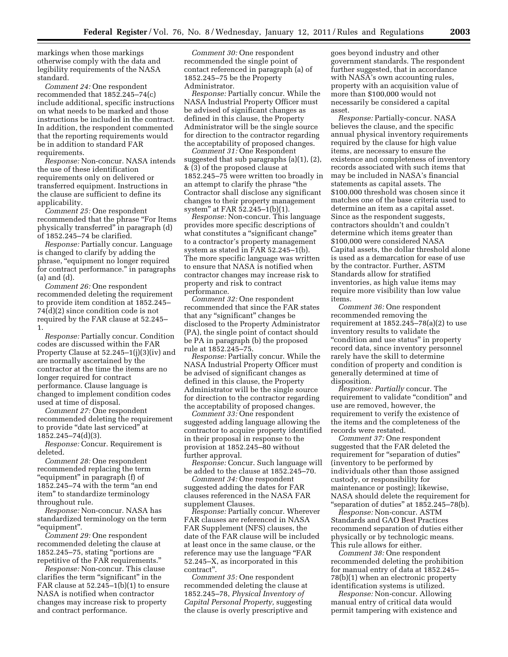markings when those markings otherwise comply with the data and legibility requirements of the NASA standard.

*Comment 24:* One respondent recommended that 1852.245–74(c) include additional, specific instructions on what needs to be marked and those instructions be included in the contract. In addition, the respondent commented that the reporting requirements would be in addition to standard FAR requirements.

*Response:* Non-concur. NASA intends the use of these identification requirements only on delivered or transferred equipment. Instructions in the clause are sufficient to define its applicability.

*Comment 25:* One respondent recommended that the phrase "For Items physically transferred'' in paragraph (d) of 1852.245–74 be clarified.

*Response:* Partially concur. Language is changed to clarify by adding the phrase, ''equipment no longer required for contract performance.'' in paragraphs (a) and (d).

*Comment 26:* One respondent recommended deleting the requirement to provide item condition at 1852.245– 74(d)(2) since condition code is not required by the FAR clause at 52.245– 1.

*Response:* Partially concur. Condition codes are discussed within the FAR Property Clause at 52.245–1(j)(3)(iv) and are normally ascertained by the contractor at the time the items are no longer required for contract performance. Clause language is changed to implement condition codes used at time of disposal.

*Comment 27:* One respondent recommended deleting the requirement to provide "date last serviced" at 1852.245–74(d)(3).

*Response:* Concur. Requirement is deleted.

*Comment 28:* One respondent recommended replacing the term "equipment" in paragraph (f) of 1852.245–74 with the term ''an end item'' to standardize terminology throughout rule.

*Response:* Non-concur. NASA has standardized terminology on the term ''equipment''.

*Comment 29:* One respondent recommended deleting the clause at 1852.245–75, stating ''portions are repetitive of the FAR requirements.''

*Response:* Non-concur. This clause clarifies the term "significant" in the FAR clause at 52.245–1(b)(1) to ensure NASA is notified when contractor changes may increase risk to property and contract performance.

*Comment 30:* One respondent recommended the single point of contact referenced in paragraph (a) of 1852.245–75 be the Property Administrator.

*Response:* Partially concur. While the NASA Industrial Property Officer must be advised of significant changes as defined in this clause, the Property Administrator will be the single source for direction to the contractor regarding the acceptability of proposed changes.

*Comment 31:* One Respondent suggested that sub paragraphs (a)(1), (2), & (3) of the proposed clause at 1852.245–75 were written too broadly in an attempt to clarify the phrase ''the Contractor shall disclose any significant changes to their property management system'' at FAR 52.245–1(b)(1).

*Response:* Non-concur. This language provides more specific descriptions of what constitutes a "significant change" to a contractor's property management system as stated in FAR 52.245–1(b). The more specific language was written to ensure that NASA is notified when contractor changes may increase risk to property and risk to contract performance.

*Comment 32:* One respondent recommended that since the FAR states that any ''significant'' changes be disclosed to the Property Administrator (PA), the single point of contact should be PA in paragraph (b) the proposed rule at 1852.245–75.

*Response:* Partially concur. While the NASA Industrial Property Officer must be advised of significant changes as defined in this clause, the Property Administrator will be the single source for direction to the contractor regarding the acceptability of proposed changes.

*Comment 33:* One respondent suggested adding language allowing the contractor to acquire property identified in their proposal in response to the provision at 1852.245–80 without further approval.

*Response:* Concur. Such language will be added to the clause at 1852.245–70.

*Comment 34:* One respondent suggested adding the dates for FAR clauses referenced in the NASA FAR supplement Clauses.

*Response:* Partially concur. Wherever FAR clauses are referenced in NASA FAR Supplement (NFS) clauses, the date of the FAR clause will be included at least once in the same clause, or the reference may use the language ''FAR 52.245–X, as incorporated in this contract''.

*Comment 35:* One respondent recommended deleting the clause at 1852.245–78, *Physical Inventory of Capital Personal Property,* suggesting the clause is overly prescriptive and

goes beyond industry and other government standards. The respondent further suggested, that in accordance with NASA's own accounting rules, property with an acquisition value of more than \$100,000 would not necessarily be considered a capital asset.

*Response:* Partially-concur. NASA believes the clause, and the specific annual physical inventory requirements required by the clause for high value items, are necessary to ensure the existence and completeness of inventory records associated with such items that may be included in NASA's financial statements as capital assets. The \$100,000 threshold was chosen since it matches one of the base criteria used to determine an item as a capital asset. Since as the respondent suggests, contractors shouldn't and couldn't determine which items greater than \$100,000 were considered NASA Capital assets, the dollar threshold alone is used as a demarcation for ease of use by the contractor. Further, ASTM Standards allow for stratified inventories, as high value items may require more visibility than low value items.

*Comment 36:* One respondent recommended removing the requirement at  $1852.245 - 78(a)(2)$  to use inventory results to validate the "condition and use status" in property record data, since inventory personnel rarely have the skill to determine condition of property and condition is generally determined at time of disposition.

*Response: Partially* concur. The requirement to validate "condition" and use are removed, however, the requirement to verify the existence of the items and the completeness of the records were restated.

*Comment 37:* One respondent suggested that the FAR deleted the requirement for "separation of duties" (inventory to be performed by individuals other than those assigned custody, or responsibility for maintenance or posting); likewise, NASA should delete the requirement for ''separation of duties'' at 1852.245–78(b).

*Response:* Non-concur. ASTM Standards and GAO Best Practices recommend separation of duties either physically or by technologic means. This rule allows for either.

*Comment 38:* One respondent recommended deleting the prohibition for manual entry of data at 1852.245– 78(b)(1) when an electronic property identification systems is utilized.

*Response:* Non-concur. Allowing manual entry of critical data would permit tampering with existence and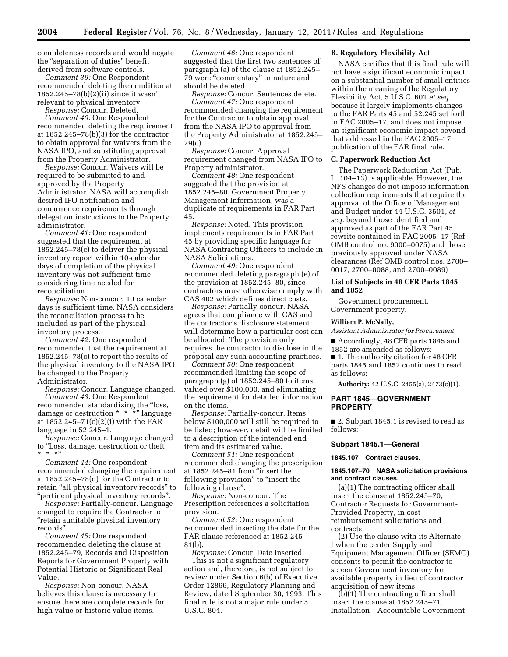completeness records and would negate the ''separation of duties'' benefit derived from software controls.

*Comment 39:* One Respondent recommended deleting the condition at 1852.245–78(b)(2)(ii) since it wasn't relevant to physical inventory.

*Response:* Concur. Deleted.

*Comment 40:* One Respondent recommended deleting the requirement at 1852.245–78(b)(3) for the contractor to obtain approval for waivers from the NASA IPO, and substituting approval from the Property Administrator.

*Response:* Concur. Waivers will be required to be submitted to and approved by the Property Administrator. NASA will accomplish desired IPO notification and concurrence requirements through delegation instructions to the Property administrator.

*Comment 41:* One respondent suggested that the requirement at 1852.245–78(c) to deliver the physical inventory report within 10-calendar days of completion of the physical inventory was not sufficient time considering time needed for reconciliation.

*Response:* Non-concur. 10 calendar days is sufficient time. NASA considers the reconciliation process to be included as part of the physical inventory process.

*Comment 42:* One respondent recommended that the requirement at 1852.245–78(c) to report the results of the physical inventory to the NASA IPO be changed to the Property Administrator.

*Response:* Concur. Language changed. *Comment 43:* One Respondent recommended standardizing the ''loss, damage or destruction \* \* \*'' language at 1852.245–71(c)(2)(i) with the FAR language in 52,245–1.

*Response:* Concur. Language changed to ''Loss, damage, destruction or theft  $*$  \*'

*Comment 44:* One respondent recommended changing the requirement at 1852.245–78(d) for the Contractor to retain "all physical inventory records" to ''pertinent physical inventory records''.

*Response:* Partially-concur. Language changed to require the Contractor to ''retain auditable physical inventory records''.

*Comment 45:* One respondent recommended deleting the clause at 1852.245–79, Records and Disposition Reports for Government Property with Potential Historic or Significant Real Value.

*Response:* Non-concur. NASA believes this clause is necessary to ensure there are complete records for high value or historic value items.

*Comment 46:* One respondent suggested that the first two sentences of paragraph (a) of the clause at 1852.245– 79 were ''commentary'' in nature and should be deleted.

*Response:* Concur. Sentences delete. *Comment 47:* One respondent recommended changing the requirement for the Contractor to obtain approval from the NASA IPO to approval from the Property Administrator at 1852.245– 79(c).

*Response:* Concur. Approval requirement changed from NASA IPO to Property administrator.

*Comment 48:* One respondent suggested that the provision at 1852.245–80, Government Property Management Information, was a duplicate of requirements in FAR Part 45.

*Response:* Noted. This provision implements requirements in FAR Part 45 by providing specific language for NASA Contracting Officers to include in NASA Solicitations.

*Comment 49:* One respondent recommended deleting paragraph (e) of the provision at 1852.245–80, since contractors must otherwise comply with CAS 402 which defines direct costs.

*Response:* Partially-concur. NASA agrees that compliance with CAS and the contractor's disclosure statement will determine how a particular cost can be allocated. The provision only requires the contractor to disclose in the proposal any such accounting practices.

*Comment 50:* One respondent recommended limiting the scope of paragraph (g) of 1852.245–80 to items valued over \$100,000, and eliminating the requirement for detailed information on the items.

*Response:* Partially-concur. Items below \$100,000 will still be required to be listed; however, detail will be limited to a description of the intended end item and its estimated value.

*Comment 51:* One respondent recommended changing the prescription at 1852.245–81 from ''insert the following provision" to "insert the following clause''.

*Response:* Non-concur. The Prescription references a solicitation provision.

*Comment 52:* One respondent recommended inserting the date for the FAR clause referenced at 1852.245– 81(b).

*Response:* Concur. Date inserted. This is not a significant regulatory action and, therefore, is not subject to review under Section 6(b) of Executive Order 12866, Regulatory Planning and Review, dated September 30, 1993. This final rule is not a major rule under 5 U.S.C. 804.

## **B. Regulatory Flexibility Act**

NASA certifies that this final rule will not have a significant economic impact on a substantial number of small entities within the meaning of the Regulatory Flexibility Act, 5 U.S.C. 601 *et seq.,*  because it largely implements changes to the FAR Parts 45 and 52.245 set forth in FAC 2005–17, and does not impose an significant economic impact beyond that addressed in the FAC 2005–17 publication of the FAR final rule.

## **C. Paperwork Reduction Act**

The Paperwork Reduction Act (Pub. L. 104–13) is applicable. However, the NFS changes do not impose information collection requirements that require the approval of the Office of Management and Budget under 44 U.S.C. 3501, *et seq.* beyond those identified and approved as part of the FAR Part 45 rewrite contained in FAC 2005–17 (Ref OMB control no. 9000–0075) and those previously approved under NASA clearances (Ref OMB control nos. 2700– 0017, 2700–0088, and 2700–0089)

# **List of Subjects in 48 CFR Parts 1845 and 1852**

Government procurement, Government property.

#### **William P. McNally,**

*Assistant Administrator for Procurement.* 

■ Accordingly, 48 CFR parts 1845 and 1852 are amended as follows:

■ 1. The authority citation for 48 CFR parts 1845 and 1852 continues to read as follows:

**Authority:** 42 U.S.C. 2455(a), 2473(c)(1).

### **PART 1845—GOVERNMENT PROPERTY**

■ 2. Subpart 1845.1 is revised to read as follows:

# **Subpart 1845.1—General**

**1845.107 Contract clauses.** 

### **1845.107–70 NASA solicitation provisions and contract clauses.**

(a)(1) The contracting officer shall insert the clause at 1852.245–70, Contractor Requests for Government-Provided Property, in cost reimbursement solicitations and contracts.

(2) Use the clause with its Alternate I when the center Supply and Equipment Management Officer (SEMO) consents to permit the contractor to screen Government inventory for available property in lieu of contractor acquisition of new items.

(b)(1) The contracting officer shall insert the clause at 1852.245–71, Installation—Accountable Government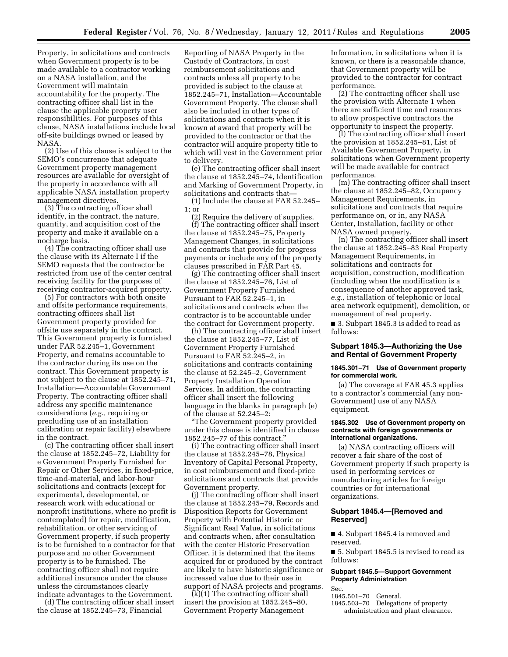Property, in solicitations and contracts when Government property is to be made available to a contractor working on a NASA installation, and the Government will maintain accountability for the property. The contracting officer shall list in the clause the applicable property user responsibilities. For purposes of this clause, NASA installations include local off-site buildings owned or leased by NASA.

(2) Use of this clause is subject to the SEMO's concurrence that adequate Government property management resources are available for oversight of the property in accordance with all applicable NASA installation property management directives.

(3) The contracting officer shall identify, in the contract, the nature, quantity, and acquisition cost of the property and make it available on a nocharge basis.

(4) The contracting officer shall use the clause with its Alternate I if the SEMO requests that the contractor be restricted from use of the center central receiving facility for the purposes of receiving contractor-acquired property.

(5) For contractors with both onsite and offsite performance requirements, contracting officers shall list Government property provided for offsite use separately in the contract. This Government property is furnished under FAR 52.245–1, Government Property, and remains accountable to the contractor during its use on the contract. This Government property is not subject to the clause at 1852.245–71, Installation—Accountable Government Property. The contracting officer shall address any specific maintenance considerations (*e.g.,* requiring or precluding use of an installation calibration or repair facility) elsewhere in the contract.

(c) The contracting officer shall insert the clause at 1852.245–72, Liability for e Government Property Furnished for Repair or Other Services, in fixed-price, time-and-material, and labor-hour solicitations and contracts (except for experimental, developmental, or research work with educational or nonprofit institutions, where no profit is contemplated) for repair, modification, rehabilitation, or other servicing of Government property, if such property is to be furnished to a contractor for that purpose and no other Government property is to be furnished. The contracting officer shall not require additional insurance under the clause unless the circumstances clearly indicate advantages to the Government.

(d) The contracting officer shall insert the clause at 1852.245–73, Financial

Reporting of NASA Property in the Custody of Contractors, in cost reimbursement solicitations and contracts unless all property to be provided is subject to the clause at 1852.245–71, Installation—Accountable Government Property. The clause shall also be included in other types of solicitations and contracts when it is known at award that property will be provided to the contractor or that the contractor will acquire property title to which will vest in the Government prior to delivery.

(e) The contracting officer shall insert the clause at 1852.245–74, Identification and Marking of Government Property, in solicitations and contracts that—

(1) Include the clause at FAR 52.245– 1; or

(2) Require the delivery of supplies. (f) The contracting officer shall insert the clause at 1852.245–75, Property Management Changes, in solicitations and contracts that provide for progress payments or include any of the property clauses prescribed in FAR Part 45.

(g) The contracting officer shall insert the clause at 1852.245–76, List of Government Property Furnished Pursuant to FAR 52.245–1, in solicitations and contracts when the contractor is to be accountable under the contract for Government property.

(h) The contracting officer shall insert the clause at 1852.245–77, List of Government Property Furnished Pursuant to FAR 52.245–2, in solicitations and contracts containing the clause at 52.245–2, Government Property Installation Operation Services. In addition, the contracting officer shall insert the following language in the blanks in paragraph (e) of the clause at 52.245–2:

''The Government property provided under this clause is identified in clause 1852.245–77 of this contract.''

(i) The contracting officer shall insert the clause at 1852.245–78, Physical Inventory of Capital Personal Property, in cost reimbursement and fixed-price solicitations and contracts that provide Government property.

(j) The contracting officer shall insert the clause at 1852.245–79, Records and Disposition Reports for Government Property with Potential Historic or Significant Real Value, in solicitations and contracts when, after consultation with the center Historic Preservation Officer, it is determined that the items acquired for or produced by the contract are likely to have historic significance or increased value due to their use in support of NASA projects and programs.

(k)(1) The contracting officer shall insert the provision at 1852.245–80, Government Property Management

Information, in solicitations when it is known, or there is a reasonable chance, that Government property will be provided to the contractor for contract performance.

(2) The contracting officer shall use the provision with Alternate 1 when there are sufficient time and resources to allow prospective contractors the opportunity to inspect the property.

(l) The contracting officer shall insert the provision at 1852.245–81, List of Available Government Property, in solicitations when Government property will be made available for contract performance.

(m) The contracting officer shall insert the clause at 1852.245–82, Occupancy Management Requirements, in solicitations and contracts that require performance on, or in, any NASA Center, Installation, facility or other NASA owned property.

(n) The contracting officer shall insert the clause at 1852.245–83 Real Property Management Requirements, in solicitations and contracts for acquisition, construction, modification (including when the modification is a consequence of another approved task, *e.g.,* installation of telephonic or local area network equipment), demolition, or management of real property.

■ 3. Subpart 1845.3 is added to read as follows:

# **Subpart 1845.3—Authorizing the Use and Rental of Government Property**

### **1845.301–71 Use of Government property for commercial work.**

(a) The coverage at FAR 45.3 applies to a contractor's commercial (any non-Government) use of any NASA equipment.

#### **1845.302 Use of Government property on contracts with foreign governments or international organizations.**

(a) NASA contracting officers will recover a fair share of the cost of Government property if such property is used in performing services or manufacturing articles for foreign countries or for international organizations.

# **Subpart 1845.4—[Removed and Reserved]**

■ 4. Subpart 1845.4 is removed and reserved.

■ 5. Subpart 1845.5 is revised to read as follows:

### **Subpart 1845.5—Support Government Property Administration**

Sec.

1845.501–70 General.

1845.503–70 Delegations of property administration and plant clearance.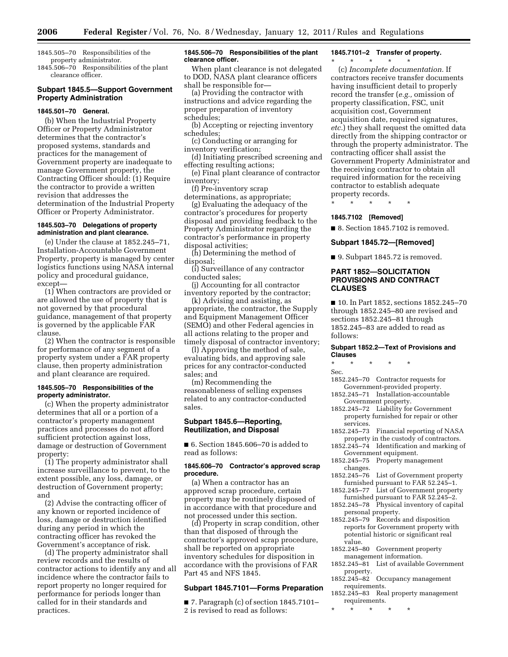1845.505–70 Responsibilities of the property administrator.

1845.506–70 Responsibilities of the plant clearance officer.

# **Subpart 1845.5—Support Government Property Administration**

# **1845.501–70 General.**

(b) When the Industrial Property Officer or Property Administrator determines that the contractor's proposed systems, standards and practices for the management of Government property are inadequate to manage Government property, the Contracting Officer should: (1) Require the contractor to provide a written revision that addresses the determination of the Industrial Property Officer or Property Administrator.

### **1845.503–70 Delegations of property administration and plant clearance.**

(e) Under the clause at 1852.245–71, Installation-Accountable Government Property, property is managed by center logistics functions using NASA internal policy and procedural guidance, except—

(1) When contractors are provided or are allowed the use of property that is not governed by that procedural guidance, management of that property is governed by the applicable FAR clause.

(2) When the contractor is responsible for performance of any segment of a property system under a FAR property clause, then property administration and plant clearance are required.

# **1845.505–70 Responsibilities of the property administrator.**

(c) When the property administrator determines that all or a portion of a contractor's property management practices and processes do not afford sufficient protection against loss, damage or destruction of Government property:

(1) The property administrator shall increase surveillance to prevent, to the extent possible, any loss, damage, or destruction of Government property; and

(2) Advise the contracting officer of any known or reported incidence of loss, damage or destruction identified during any period in which the contracting officer has revoked the Government's acceptance of risk.

(d) The property administrator shall review records and the results of contractor actions to identify any and all incidence where the contractor fails to report property no longer required for performance for periods longer than called for in their standards and practices.

### **1845.506–70 Responsibilities of the plant clearance officer.**

When plant clearance is not delegated to DOD, NASA plant clearance officers shall be responsible for—

(a) Providing the contractor with instructions and advice regarding the proper preparation of inventory schedules;

(b) Accepting or rejecting inventory schedules;

(c) Conducting or arranging for inventory verification;

(d) Initiating prescribed screening and effecting resulting actions;

(e) Final plant clearance of contractor inventory;

(f) Pre-inventory scrap

determinations, as appropriate; (g) Evaluating the adequacy of the

contractor's procedures for property disposal and providing feedback to the Property Administrator regarding the contractor's performance in property disposal activities;

(h) Determining the method of disposal;

(i) Surveillance of any contractor conducted sales;

(j) Accounting for all contractor inventory reported by the contractor;

(k) Advising and assisting, as appropriate, the contractor, the Supply and Equipment Management Officer (SEMO) and other Federal agencies in all actions relating to the proper and timely disposal of contractor inventory;

(l) Approving the method of sale, evaluating bids, and approving sale prices for any contractor-conducted sales; and

(m) Recommending the reasonableness of selling expenses related to any contractor-conducted sales.

## **Subpart 1845.6—Reporting, Reutilization, and Disposal**

■ 6. Section 1845.606–70 is added to read as follows:

### **1845.606–70 Contractor's approved scrap procedure.**

(a) When a contractor has an approved scrap procedure, certain property may be routinely disposed of in accordance with that procedure and not processed under this section.

(d) Property in scrap condition, other than that disposed of through the contractor's approved scrap procedure, shall be reported on appropriate inventory schedules for disposition in accordance with the provisions of FAR Part 45 and NFS 1845.

# **Subpart 1845.7101—Forms Preparation**

■ 7. Paragraph (c) of section 1845.7101– 2 is revised to read as follows:

# **1845.7101–2 Transfer of property.**

#### \* \* \* \* \*

(c) *Incomplete documentation.* If contractors receive transfer documents having insufficient detail to properly record the transfer (*e.g.,* omission of property classification, FSC, unit acquisition cost, Government acquisition date, required signatures, *etc.*) they shall request the omitted data directly from the shipping contractor or through the property administrator. The contracting officer shall assist the Government Property Administrator and the receiving contractor to obtain all required information for the receiving contractor to establish adequate property records.

\* \* \* \* \*

# **1845.7102 [Removed]**

■ 8. Section 1845.7102 is removed.

# **Subpart 1845.72—[Removed]**

■ 9. Subpart 1845.72 is removed.

## **PART 1852—SOLICITATION PROVISIONS AND CONTRACT CLAUSES**

■ 10. In Part 1852, sections 1852.245-70 through 1852.245–80 are revised and sections 1852.245–81 through 1852.245–83 are added to read as follows:

### **Subpart 1852.2—Text of Provisions and Clauses**

\* \* \* \* \*

Sec.

- 1852.245–70 Contractor requests for Government-provided property.
- 1852.245–71 Installation-accountable Government property.
- 1852.245–72 Liability for Government property furnished for repair or other services.
- 1852.245–73 Financial reporting of NASA property in the custody of contractors.
- 1852.245–74 Identification and marking of Government equipment.
- 1852.245–75 Property management changes.
- 1852.245–76 List of Government property furnished pursuant to FAR 52.245–1.
- 1852.245–77 List of Government property furnished pursuant to FAR 52.245–2.
- 1852.245–78 Physical inventory of capital personal property.
- 1852.245–79 Records and disposition reports for Government property with potential historic or significant real value.
- 1852.245–80 Government property management information.
- 1852.245–81 List of available Government property.
- 1852.245–82 Occupancy management requirements.
- 1852.245–83 Real property management requirements.
- \* \* \* \* \*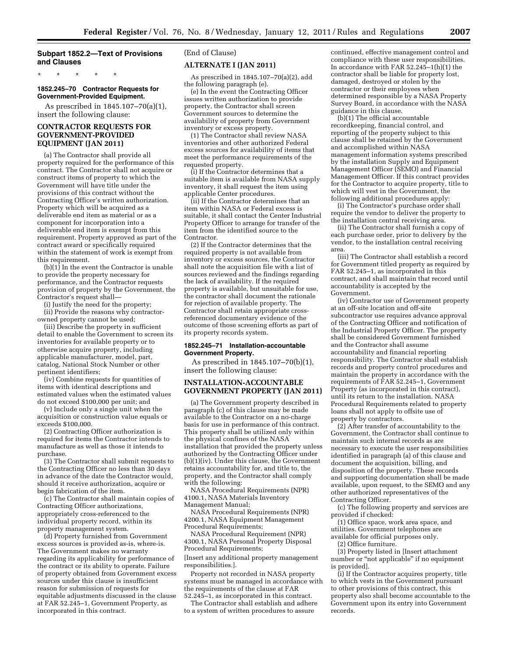# **Subpart 1852.2—Text of Provisions and Clauses**

\* \* \* \* \*

#### **1852.245–70 Contractor Requests for Government-Provided Equipment.**

As prescribed in 1845.107–70(a)(1), insert the following clause:

# **CONTRACTOR REQUESTS FOR GOVERNMENT-PROVIDED EQUIPMENT (JAN 2011)**

(a) The Contractor shall provide all property required for the performance of this contract. The Contractor shall not acquire or construct items of property to which the Government will have title under the provisions of this contract without the Contracting Officer's written authorization. Property which will be acquired as a deliverable end item as material or as a component for incorporation into a deliverable end item is exempt from this requirement. Property approved as part of the contract award or specifically required within the statement of work is exempt from this requirement.

 $(b)(1)$  In the event the Contractor is unable to provide the property necessary for performance, and the Contractor requests provision of property by the Government, the Contractor's request shall—

(i) Justify the need for the property;

(ii) Provide the reasons why contractorowned property cannot be used;

(iii) Describe the property in sufficient detail to enable the Government to screen its inventories for available property or to otherwise acquire property, including applicable manufacturer, model, part, catalog, National Stock Number or other pertinent identifiers;

(iv) Combine requests for quantities of items with identical descriptions and estimated values when the estimated values do not exceed \$100,000 per unit; and

(v) Include only a single unit when the acquisition or construction value equals or exceeds \$100,000.

(2) Contracting Officer authorization is required for items the Contractor intends to manufacture as well as those it intends to purchase.

(3) The Contractor shall submit requests to the Contracting Officer no less than 30 days in advance of the date the Contractor would, should it receive authorization, acquire or begin fabrication of the item.

(c) The Contractor shall maintain copies of Contracting Officer authorizations, appropriately cross-referenced to the individual property record, within its property management system.

(d) Property furnished from Government excess sources is provided as-is, where-is. The Government makes no warranty regarding its applicability for performance of the contract or its ability to operate. Failure of property obtained from Government excess sources under this clause is insufficient reason for submission of requests for equitable adjustments discussed in the clause at FAR 52.245–1, Government Property, as incorporated in this contract.

# (End of Clause)

### **ALTERNATE I (JAN 2011)**

As prescribed in 1845.107–70(a)(2), add the following paragraph (e).

(e) In the event the Contracting Officer issues written authorization to provide property, the Contractor shall screen Government sources to determine the availability of property from Government inventory or excess property.

(1) The Contractor shall review NASA inventories and other authorized Federal excess sources for availability of items that meet the performance requirements of the requested property.

(i) If the Contractor determines that a suitable item is available from NASA supply inventory, it shall request the item using applicable Center procedures.

(ii) If the Contractor determines that an item within NASA or Federal excess is suitable, it shall contact the Center Industrial Property Officer to arrange for transfer of the item from the identified source to the Contractor.

(2) If the Contractor determines that the required property is not available from inventory or excess sources, the Contractor shall note the acquisition file with a list of sources reviewed and the findings regarding the lack of availability. If the required property is available, but unsuitable for use, the contractor shall document the rationale for rejection of available property. The Contractor shall retain appropriate crossreferenced documentary evidence of the outcome of those screening efforts as part of its property records system.

#### **1852.245–71 Installation-accountable Government Property.**

As prescribed in 1845.107–70(b)(1), insert the following clause:

# **INSTALLATION-ACCOUNTABLE GOVERNMENT PROPERTY (JAN 2011)**

(a) The Government property described in paragraph (c) of this clause may be made available to the Contractor on a no-charge basis for use in performance of this contract. This property shall be utilized only within the physical confines of the NASA installation that provided the property unless authorized by the Contracting Officer under (b)(1)(iv). Under this clause, the Government retains accountability for, and title to, the property, and the Contractor shall comply with the following:

NASA Procedural Requirements (NPR) 4100.1, NASA Materials Inventory Management Manual;

NASA Procedural Requirements (NPR) 4200.1, NASA Equipment Management Procedural Requirements;

NASA Procedural Requirement (NPR) 4300.1, NASA Personal Property Disposal Procedural Requirements; [Insert any additional property management responsibilities.].

Property not recorded in NASA property systems must be managed in accordance with the requirements of the clause at FAR 52.245–1, as incorporated in this contract.

The Contractor shall establish and adhere to a system of written procedures to assure

continued, effective management control and compliance with these user responsibilities. In accordance with FAR 52.245–1(h)(1) the contractor shall be liable for property lost, damaged, destroyed or stolen by the contractor or their employees when determined responsible by a NASA Property Survey Board, in accordance with the NASA guidance in this clause.

(b)(1) The official accountable recordkeeping, financial control, and reporting of the property subject to this clause shall be retained by the Government and accomplished within NASA management information systems prescribed by the installation Supply and Equipment Management Officer (SEMO) and Financial Management Officer. If this contract provides for the Contractor to acquire property, title to which will vest in the Government, the following additional procedures apply:

(i) The Contractor's purchase order shall require the vendor to deliver the property to the installation central receiving area.

(ii) The Contractor shall furnish a copy of each purchase order, prior to delivery by the vendor, to the installation central receiving area.

(iii) The Contractor shall establish a record for Government titled property as required by FAR 52.245–1, as incorporated in this contract, and shall maintain that record until accountability is accepted by the Government.

(iv) Contractor use of Government property at an off-site location and off-site subcontractor use requires advance approval of the Contracting Officer and notification of the Industrial Property Officer. The property shall be considered Government furnished and the Contractor shall assume accountability and financial reporting responsibility. The Contractor shall establish records and property control procedures and maintain the property in accordance with the requirements of FAR 52.245–1, Government Property (as incorporated in this contract), until its return to the installation. NASA Procedural Requirements related to property loans shall not apply to offsite use of property by contractors.

(2) After transfer of accountability to the Government, the Contractor shall continue to maintain such internal records as are necessary to execute the user responsibilities identified in paragraph (a) of this clause and document the acquisition, billing, and disposition of the property. These records and supporting documentation shall be made available, upon request, to the SEMO and any other authorized representatives of the Contracting Officer.

(c) The following property and services are provided if checked:

(1) Office space, work area space, and utilities. Government telephones are available for official purposes only.

(2) Office furniture.

(3) Property listed in [Insert attachment number or "not applicable" if no equipment is provided].

(i) If the Contractor acquires property, title to which vests in the Government pursuant to other provisions of this contract, this property also shall become accountable to the Government upon its entry into Government records.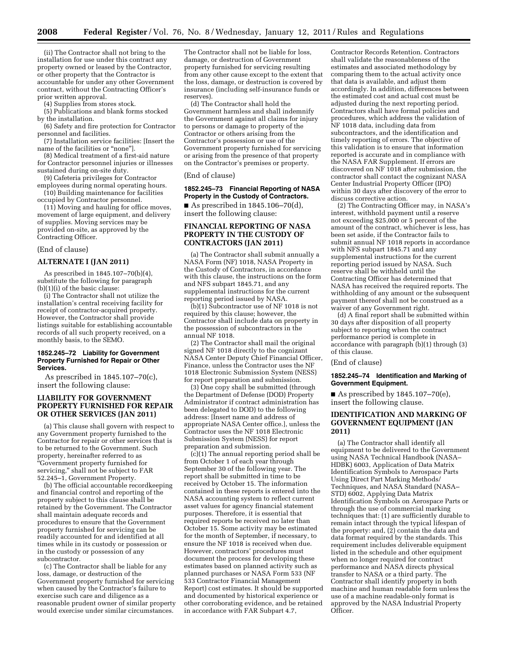(ii) The Contractor shall not bring to the installation for use under this contract any property owned or leased by the Contractor, or other property that the Contractor is accountable for under any other Government contract, without the Contracting Officer's prior written approval.

(4) Supplies from stores stock.

(5) Publications and blank forms stocked by the installation.

(6) Safety and fire protection for Contractor personnel and facilities.

(7) Installation service facilities: [Insert the name of the facilities or "none"].

(8) Medical treatment of a first-aid nature for Contractor personnel injuries or illnesses sustained during on-site duty.

(9) Cafeteria privileges for Contractor

employees during normal operating hours. (10) Building maintenance for facilities occupied by Contractor personnel.

(11) Moving and hauling for office moves, movement of large equipment, and delivery of supplies. Moving services may be provided on-site, as approved by the Contracting Officer.

#### (End of clause)

### **ALTERNATE I (JAN 2011)**

As prescribed in 1845.107–70(b)(4), substitute the following for paragraph (b)(1)(i) of the basic clause:

(i) The Contractor shall not utilize the installation's central receiving facility for receipt of contractor-acquired property. However, the Contractor shall provide listings suitable for establishing accountable records of all such property received, on a monthly basis, to the SEMO.

#### **1852.245–72 Liability for Government Property Furnished for Repair or Other Services.**

As prescribed in 1845.107–70(c), insert the following clause:

# **LIABILITY FOR GOVERNMENT PROPERTY FURNISHED FOR REPAIR OR OTHER SERVICES (JAN 2011)**

(a) This clause shall govern with respect to any Government property furnished to the Contractor for repair or other services that is to be returned to the Government. Such property, hereinafter referred to as ''Government property furnished for servicing,'' shall not be subject to FAR 52.245–1, Government Property.

(b) The official accountable recordkeeping and financial control and reporting of the property subject to this clause shall be retained by the Government. The Contractor shall maintain adequate records and procedures to ensure that the Government property furnished for servicing can be readily accounted for and identified at all times while in its custody or possession or in the custody or possession of any subcontractor.

(c) The Contractor shall be liable for any loss, damage, or destruction of the Government property furnished for servicing when caused by the Contractor's failure to exercise such care and diligence as a reasonable prudent owner of similar property would exercise under similar circumstances.

The Contractor shall not be liable for loss, damage, or destruction of Government property furnished for servicing resulting from any other cause except to the extent that the loss, damage, or destruction is covered by insurance (including self-insurance funds or reserves).

(d) The Contractor shall hold the Government harmless and shall indemnify the Government against all claims for injury to persons or damage to property of the Contractor or others arising from the Contractor's possession or use of the Government property furnished for servicing or arising from the presence of that property on the Contractor's premises or property.

(End of clause)

### **1852.245–73 Financial Reporting of NASA Property in the Custody of Contractors.**

As prescribed in  $1845.106 - 70(d)$ , insert the following clause:

# **FINANCIAL REPORTING OF NASA PROPERTY IN THE CUSTODY OF CONTRACTORS (JAN 2011)**

(a) The Contractor shall submit annually a NASA Form (NF) 1018, NASA Property in the Custody of Contractors, in accordance with this clause, the instructions on the form and NFS subpart 1845.71, and any supplemental instructions for the current reporting period issued by NASA.

(b)(1) Subcontractor use of NF 1018 is not required by this clause; however, the Contractor shall include data on property in the possession of subcontractors in the  $an<sub>n</sub>$ ual NF 1018.

(2) The Contractor shall mail the original signed NF 1018 directly to the cognizant NASA Center Deputy Chief Financial Officer, Finance, unless the Contractor uses the NF 1018 Electronic Submission System (NESS) for report preparation and submission.

(3) One copy shall be submitted (through the Department of Defense (DOD) Property Administrator if contract administration has been delegated to DOD) to the following address: [Insert name and address of appropriate NASA Center office.], unless the Contractor uses the NF 1018 Electronic Submission System (NESS) for report preparation and submission.

(c)(1) The annual reporting period shall be from October 1 of each year through September 30 of the following year. The report shall be submitted in time to be received by October 15. The information contained in these reports is entered into the NASA accounting system to reflect current asset values for agency financial statement purposes. Therefore, it is essential that required reports be received no later than October 15. Some activity may be estimated for the month of September, if necessary, to ensure the NF 1018 is received when due. However, contractors' procedures must document the process for developing these estimates based on planned activity such as planned purchases or NASA Form 533 (NF 533 Contractor Financial Management Report) cost estimates. It should be supported and documented by historical experience or other corroborating evidence, and be retained in accordance with FAR Subpart 4.7,

Contractor Records Retention. Contractors shall validate the reasonableness of the estimates and associated methodology by comparing them to the actual activity once that data is available, and adjust them accordingly. In addition, differences between the estimated cost and actual cost must be adjusted during the next reporting period. Contractors shall have formal policies and procedures, which address the validation of NF 1018 data, including data from subcontractors, and the identification and timely reporting of errors. The objective of this validation is to ensure that information reported is accurate and in compliance with the NASA FAR Supplement. If errors are discovered on NF 1018 after submission, the contractor shall contact the cognizant NASA Center Industrial Property Officer (IPO) within 30 days after discovery of the error to discuss corrective action.

(2) The Contracting Officer may, in NASA's interest, withhold payment until a reserve not exceeding \$25,000 or 5 percent of the amount of the contract, whichever is less, has been set aside, if the Contractor fails to submit annual NF 1018 reports in accordance with NFS subpart 1845.71 and any supplemental instructions for the current reporting period issued by NASA. Such reserve shall be withheld until the Contracting Officer has determined that NASA has received the required reports. The withholding of any amount or the subsequent payment thereof shall not be construed as a waiver of any Government right.

(d) A final report shall be submitted within 30 days after disposition of all property subject to reporting when the contract performance period is complete in accordance with paragraph (b)(1) through (3) of this clause.

#### (End of clause)

#### **1852.245–74 Identification and Marking of Government Equipment.**

As prescribed by  $1845.107 - 70(e)$ , insert the following clause.

# **IDENTIFICATION AND MARKING OF GOVERNMENT EQUIPMENT (JAN 2011)**

(a) The Contractor shall identify all equipment to be delivered to the Government using NASA Technical Handbook (NASA– HDBK) 6003, Application of Data Matrix Identification Symbols to Aerospace Parts Using Direct Part Marking Methods/ Techniques, and NASA Standard (NASA– STD) 6002, Applying Data Matrix Identification Symbols on Aerospace Parts or through the use of commercial marking techniques that: (1) are sufficiently durable to remain intact through the typical lifespan of the property: and, (2) contain the data and data format required by the standards. This requirement includes deliverable equipment listed in the schedule and other equipment when no longer required for contract performance and NASA directs physical transfer to NASA or a third party. The Contractor shall identify property in both machine and human readable form unless the use of a machine readable-only format is approved by the NASA Industrial Property Officer.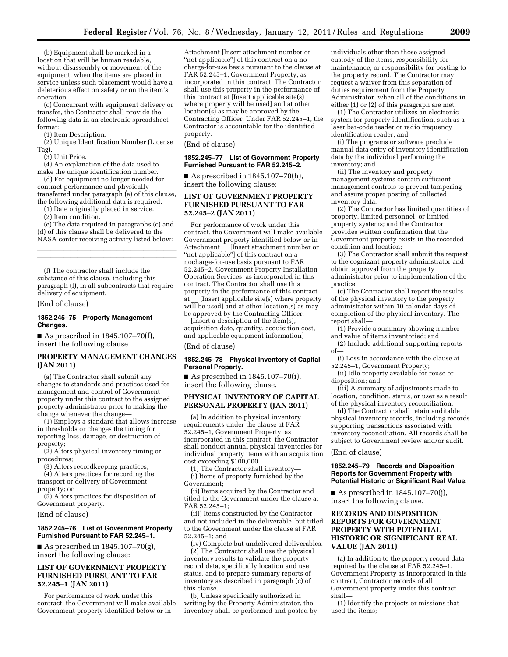(b) Equipment shall be marked in a location that will be human readable, without disassembly or movement of the equipment, when the items are placed in service unless such placement would have a deleterious effect on safety or on the item's operation.

(c) Concurrent with equipment delivery or transfer, the Contractor shall provide the following data in an electronic spreadsheet format:

(1) Item Description.

(2) Unique Identification Number (License Tag).

(3) Unit Price.

(4) An explanation of the data used to make the unique identification number.

(d) For equipment no longer needed for contract performance and physically transferred under paragraph (a) of this clause, the following additional data is required:

(1) Date originally placed in service.

(2) Item condition.

(e) The data required in paragraphs (c) and (d) of this clause shall be delivered to the NASA center receiving activity listed below:

llland i den stats af det stats af det stats af det stats af det stats af det stats af det stats af det stats<br>En dels det stats af det stats af det stats af det stats af det stats af det stats af det stats af det stats a llland i den stats af det stats af det stats af det stats af det stats af det stats af det stats af det stats<br>En dels det stats af det stats af det stats af det stats af det stats af det stats af det stats af det stats a

(f) The contractor shall include the substance of this clause, including this paragraph (f), in all subcontracts that require delivery of equipment.

(End of clause)

### **1852.245–75 Property Management Changes.**

As prescribed in  $1845.107 - 70(f)$ , insert the following clause.

# **PROPERTY MANAGEMENT CHANGES (JAN 2011)**

(a) The Contractor shall submit any changes to standards and practices used for management and control of Government property under this contract to the assigned property administrator prior to making the change whenever the change—

(1) Employs a standard that allows increase in thresholds or changes the timing for reporting loss, damage, or destruction of property;

(2) Alters physical inventory timing or procedures;

(3) Alters recordkeeping practices;

(4) Alters practices for recording the transport or delivery of Government property; or

(5) Alters practices for disposition of Government property.

(End of clause)

### **1852.245–76 List of Government Property Furnished Pursuant to FAR 52.245–1.**

As prescribed in  $1845.107 - 70(g)$ , insert the following clause:

# **LIST OF GOVERNMENT PROPERTY FURNISHED PURSUANT TO FAR 52.245–1 (JAN 2011)**

For performance of work under this contract, the Government will make available Government property identified below or in

Attachment [Insert attachment number or "not applicable"] of this contract on a no charge-for-use basis pursuant to the clause at FAR 52.245–1, Government Property, as incorporated in this contract. The Contractor shall use this property in the performance of this contract at [Insert applicable site(s) where property will be used] and at other location(s) as may be approved by the Contracting Officer. Under FAR 52.245–1, the Contractor is accountable for the identified property.

# (End of clause)

#### **1852.245–77 List of Government Property Furnished Pursuant to FAR 52.245–2.**

As prescribed in  $1845.107 - 70(h)$ , insert the following clause:

# **LIST OF GOVERNMENT PROPERTY FURNISHED PURSUANT TO FAR 52.245–2 (JAN 2011)**

For performance of work under this contract, the Government will make available Government property identified below or in Attachment [Insert attachment number or "not applicable"] of this contract on a nocharge-for-use basis pursuant to FAR 52.245–2, Government Property Installation Operation Services, as incorporated in this contract. The Contractor shall use this property in the performance of this contract at [Insert applicable site(s) where property  $will be used]$  and at other location(s) as may be approved by the Contracting Officer.

[Insert a description of the item(s), acquisition date, quantity, acquisition cost, and applicable equipment information]

(End of clause)

# **1852.245–78 Physical Inventory of Capital Personal Property.**

As prescribed in  $1845.107 - 70(i)$ , insert the following clause.

# **PHYSICAL INVENTORY OF CAPITAL PERSONAL PROPERTY (JAN 2011)**

(a) In addition to physical inventory requirements under the clause at FAR 52.245–1, Government Property, as incorporated in this contract, the Contractor shall conduct annual physical inventories for individual property items with an acquisition cost exceeding \$100,000.

(1) The Contractor shall inventory— (i) Items of property furnished by the Government;

(ii) Items acquired by the Contractor and titled to the Government under the clause at FAR 52.245–1;

(iii) Items constructed by the Contractor and not included in the deliverable, but titled to the Government under the clause at FAR 52.245–1; and

(iv) Complete but undelivered deliverables. (2) The Contractor shall use the physical inventory results to validate the property record data, specifically location and use status, and to prepare summary reports of inventory as described in paragraph (c) of this clause.

(b) Unless specifically authorized in writing by the Property Administrator, the inventory shall be performed and posted by individuals other than those assigned custody of the items, responsibility for maintenance, or responsibility for posting to the property record. The Contractor may request a waiver from this separation of duties requirement from the Property Administrator, when all of the conditions in either (1) or (2) of this paragraph are met.

(1) The Contractor utilizes an electronic system for property identification, such as a laser bar-code reader or radio frequency identification reader, and

(i) The programs or software preclude manual data entry of inventory identification data by the individual performing the inventory; and

(ii) The inventory and property management systems contain sufficient management controls to prevent tampering and assure proper posting of collected inventory data.

(2) The Contractor has limited quantities of property, limited personnel, or limited property systems; and the Contractor provides written confirmation that the Government property exists in the recorded condition and location;

(3) The Contractor shall submit the request to the cognizant property administrator and obtain approval from the property administrator prior to implementation of the practice.

(c) The Contractor shall report the results of the physical inventory to the property administrator within 10 calendar days of completion of the physical inventory. The report shall—

(1) Provide a summary showing number and value of items inventoried; and

(2) Include additional supporting reports of—

(i) Loss in accordance with the clause at 52.245–1, Government Property;

(ii) Idle property available for reuse or disposition; and

(iii) A summary of adjustments made to location, condition, status, or user as a result of the physical inventory reconciliation.

(d) The Contractor shall retain auditable physical inventory records, including records supporting transactions associated with inventory reconciliation. All records shall be subject to Government review and/or audit.

(End of clause)

### **1852.245–79 Records and Disposition Reports for Government Property with Potential Historic or Significant Real Value.**

As prescribed in  $1845.107 - 70(i)$ , insert the following clause.

# **RECORDS AND DISPOSITION REPORTS FOR GOVERNMENT PROPERTY WITH POTENTIAL HISTORIC OR SIGNIFICANT REAL VALUE (JAN 2011)**

(a) In addition to the property record data required by the clause at FAR 52.245–1, Government Property as incorporated in this contract, Contractor records of all Government property under this contract shall—

(1) Identify the projects or missions that used the items;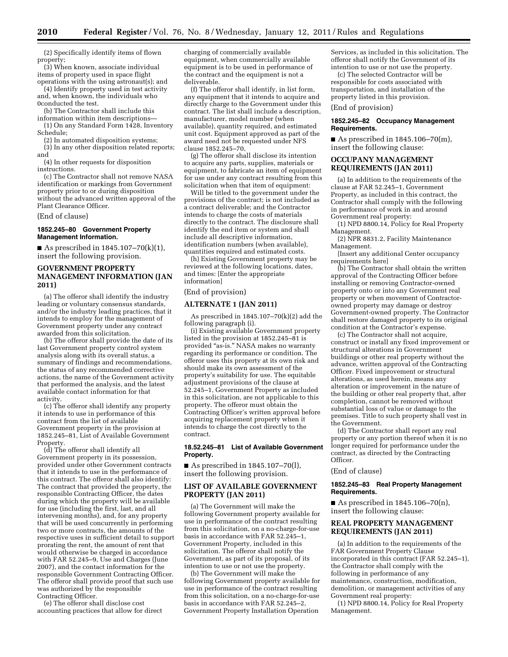(2) Specifically identify items of flown property;

(3) When known, associate individual items of property used in space flight

operations with the using astronaut(s); and (4) Identify property used in test activity and, when known, the individuals who 0conducted the test.

(b) The Contractor shall include this

information within item descriptions—

(1) On any Standard Form 1428, Inventory Schedule;

(2) In automated disposition systems; (3) In any other disposition related reports;

and (4) In other requests for disposition

instructions.

(c) The Contractor shall not remove NASA identification or markings from Government property prior to or during disposition without the advanced written approval of the Plant Clearance Officer.

(End of clause)

#### **1852.245–80 Government Property Management Information.**

As prescribed in  $1845.107-70(k)(1)$ , insert the following provision.

# **GOVERNMENT PROPERTY MANAGEMENT INFORMATION (JAN 2011)**

(a) The offeror shall identify the industry leading or voluntary consensus standards, and/or the industry leading practices, that it intends to employ for the management of Government property under any contract awarded from this solicitation.

(b) The offeror shall provide the date of its last Government property control system analysis along with its overall status, a summary of findings and recommendations, the status of any recommended corrective actions, the name of the Government activity that performed the analysis, and the latest available contact information for that activity.

(c) The offeror shall identify any property it intends to use in performance of this contract from the list of available Government property in the provision at 1852.245–81, List of Available Government Property.

(d) The offeror shall identify all Government property in its possession, provided under other Government contracts that it intends to use in the performance of this contract. The offeror shall also identify: The contract that provided the property, the responsible Contracting Officer, the dates during which the property will be available for use (including the first, last, and all intervening months), and, for any property that will be used concurrently in performing two or more contracts, the amounts of the respective uses in sufficient detail to support prorating the rent, the amount of rent that would otherwise be charged in accordance with FAR 52.245–9, Use and Charges (June 2007), and the contact information for the responsible Government Contracting Officer. The offeror shall provide proof that such use was authorized by the responsible Contracting Officer.

(e) The offeror shall disclose cost accounting practices that allow for direct charging of commercially available equipment, when commercially available equipment is to be used in performance of the contract and the equipment is not a deliverable.

(f) The offeror shall identify, in list form, any equipment that it intends to acquire and directly charge to the Government under this contract. The list shall include a description, manufacturer, model number (when available), quantity required, and estimated unit cost. Equipment approved as part of the award need not be requested under NFS clause 1852.245–70,

(g) The offeror shall disclose its intention to acquire any parts, supplies, materials or equipment, to fabricate an item of equipment for use under any contract resulting from this solicitation when that item of equipment:

Will be titled to the government under the provisions of the contract; is not included as a contract deliverable; and the Contractor intends to charge the costs of materials directly to the contract. The disclosure shall identify the end item or system and shall include all descriptive information, identification numbers (when available), quantities required and estimated costs.

(h) Existing Government property may be reviewed at the following locations, dates, and times: [Enter the appropriate information]

### (End of provision)

# **ALTERNATE 1 (JAN 2011)**

As prescribed in  $1845.107 - 70(k)(2)$  add the following paragraph (i).

(i) Existing available Government property listed in the provision at 1852.245–81 is provided "as-is." NASA makes no warranty regarding its performance or condition. The offeror uses this property at its own risk and should make its own assessment of the property's suitability for use. The equitable adjustment provisions of the clause at 52.245–1, Government Property as included in this solicitation, are not applicable to this property. The offeror must obtain the Contracting Officer's written approval before acquiring replacement property when it intends to charge the cost directly to the contract.

## **18.52.245–81 List of Available Government Property.**

As prescribed in  $1845.107 - 70(l)$ , insert the following provision.

# **LIST OF AVAILABLE GOVERNMENT PROPERTY (JAN 2011)**

(a) The Government will make the following Government property available for use in performance of the contract resulting from this solicitation, on a no-charge-for-use basis in accordance with FAR 52.245–1, Government Property, included in this solicitation. The offeror shall notify the Government, as part of its proposal, of its intention to use or not use the property.

(b) The Government will make the following Government property available for use in performance of the contract resulting from this solicitation, on a no-charge-for-use basis in accordance with FAR 52.245–2, Government Property Installation Operation

Services, as included in this solicitation. The offeror shall notify the Government of its intention to use or not use the property.

(c) The selected Contractor will be responsible for costs associated with transportation, and installation of the property listed in this provision.

(End of provision)

### **1852.245–82 Occupancy Management Requirements.**

As prescribed in  $1845.106 - 70(m)$ , insert the following clause:

# **OCCUPANY MANAGEMENT REQUIREMENTS (JAN 2011)**

(a) In addition to the requirements of the clause at FAR 52.245–1, Government Property, as included in this contract, the Contractor shall comply with the following in performance of work in and around Government real property:

(1) NPD 8800.14, Policy for Real Property Management.

(2) NPR 8831.2, Facility Maintenance Management.

[Insert any additional Center occupancy requirements here]

(b) The Contractor shall obtain the written approval of the Contracting Officer before installing or removing Contractor-owned property onto or into any Government real property or when movement of Contractorowned property may damage or destroy Government-owned property. The Contractor shall restore damaged property to its original condition at the Contractor's expense.

(c) The Contractor shall not acquire, construct or install any fixed improvement or structural alterations in Government buildings or other real property without the advance, written approval of the Contracting Officer. Fixed improvement or structural alterations, as used herein, means any alteration or improvement in the nature of the building or other real property that, after completion, cannot be removed without substantial loss of value or damage to the premises. Title to such property shall vest in the Government.

(d) The Contractor shall report any real property or any portion thereof when it is no longer required for performance under the contract, as directed by the Contracting Officer.

(End of clause)

### **1852.245–83 Real Property Management Requirements.**

As prescribed in  $1845.106 - 70(n)$ , insert the following clause:

# **REAL PROPERTY MANAGEMENT REQUIREMENTS (JAN 2011)**

(a) In addition to the requirements of the FAR Government Property Clause incorporated in this contract (FAR 52.245–1), the Contractor shall comply with the following in performance of any maintenance, construction, modification, demolition, or management activities of any Government real property:

(1) NPD 8800.14, Policy for Real Property Management.